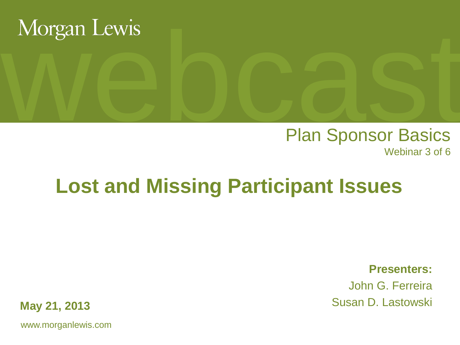

# Morgan Lewis<br>
Plan Sponsor Basics Plan Sponsor Basics Webinar 3 of 6

# **Lost and Missing Participant Issues**

**Presenters:**

John G. Ferreira Susan D. Lastowski

**May 21, 2013**

www.morganlewis.com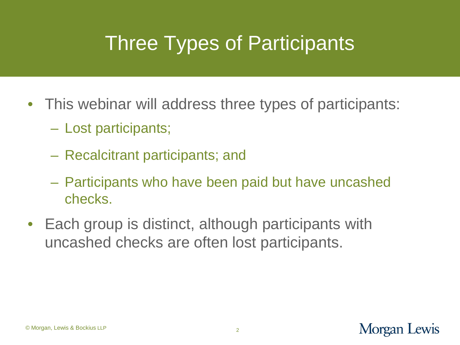# Three Types of Participants

- This webinar will address three types of participants:
	- Lost participants;
	- Recalcitrant participants; and
	- Participants who have been paid but have uncashed checks.
- Each group is distinct, although participants with uncashed checks are often lost participants.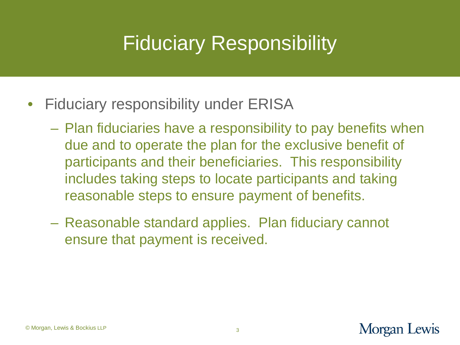## Fiduciary Responsibility

- Fiduciary responsibility under ERISA
	- Plan fiduciaries have a responsibility to pay benefits when due and to operate the plan for the exclusive benefit of participants and their beneficiaries. This responsibility includes taking steps to locate participants and taking reasonable steps to ensure payment of benefits.
	- Reasonable standard applies. Plan fiduciary cannot ensure that payment is received.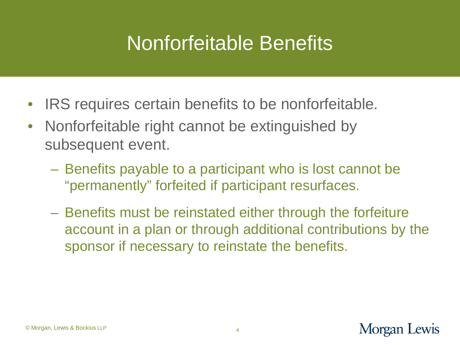#### Nonforfeitable Benefits

- IRS requires certain benefits to be nonforfeitable.
- Nonforfeitable right cannot be extinguished by subsequent event.
	- Benefits payable to a participant who is lost cannot be "permanently" forfeited if participant resurfaces.
	- Benefits must be reinstated either through the forfeiture account in a plan or through additional contributions by the sponsor if necessary to reinstate the benefits.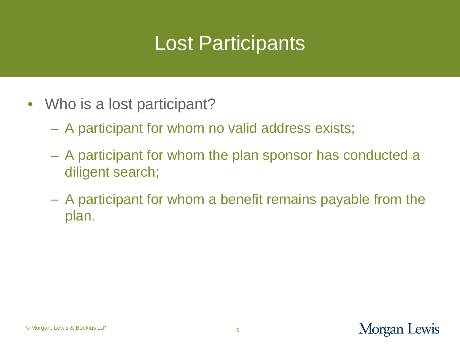## Lost Participants

- Who is a lost participant?
	- A participant for whom no valid address exists;
	- A participant for whom the plan sponsor has conducted a diligent search;
	- A participant for whom a benefit remains payable from the plan.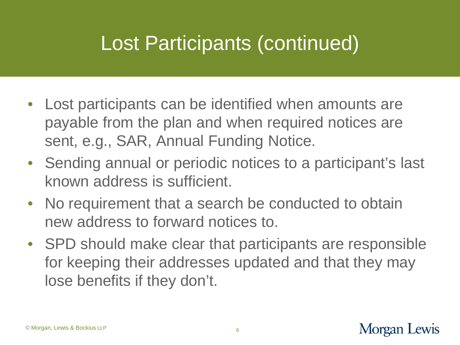### Lost Participants (continued)

- Lost participants can be identified when amounts are payable from the plan and when required notices are sent, e.g., SAR, Annual Funding Notice.
- Sending annual or periodic notices to a participant's last known address is sufficient.
- No requirement that a search be conducted to obtain new address to forward notices to.
- SPD should make clear that participants are responsible for keeping their addresses updated and that they may lose benefits if they don't.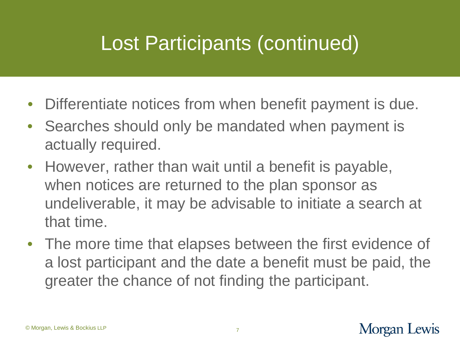### Lost Participants (continued)

- Differentiate notices from when benefit payment is due.
- Searches should only be mandated when payment is actually required.
- However, rather than wait until a benefit is payable, when notices are returned to the plan sponsor as undeliverable, it may be advisable to initiate a search at that time.
- The more time that elapses between the first evidence of a lost participant and the date a benefit must be paid, the greater the chance of not finding the participant.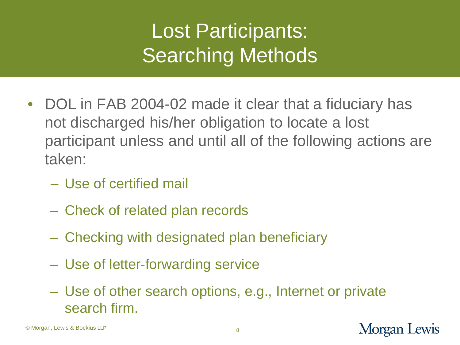# Lost Participants: Searching Methods

- DOL in FAB 2004-02 made it clear that a fiduciary has not discharged his/her obligation to locate a lost participant unless and until all of the following actions are taken:
	- Use of certified mail
	- Check of related plan records
	- Checking with designated plan beneficiary
	- Use of letter-forwarding service
	- Use of other search options, e.g., Internet or private search firm.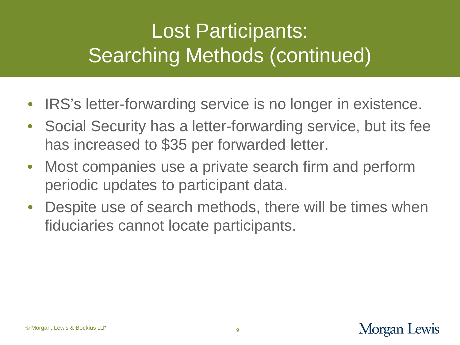# Lost Participants: Searching Methods (continued)

- IRS's letter-forwarding service is no longer in existence.
- Social Security has a letter-forwarding service, but its fee has increased to \$35 per forwarded letter.
- Most companies use a private search firm and perform periodic updates to participant data.
- Despite use of search methods, there will be times when fiduciaries cannot locate participants.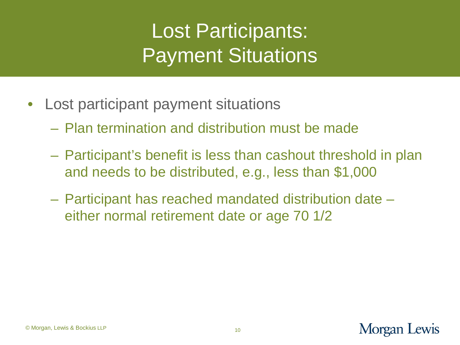# Lost Participants: Payment Situations

- Lost participant payment situations
	- Plan termination and distribution must be made
	- Participant's benefit is less than cashout threshold in plan and needs to be distributed, e.g., less than \$1,000
	- Participant has reached mandated distribution date either normal retirement date or age 70 1/2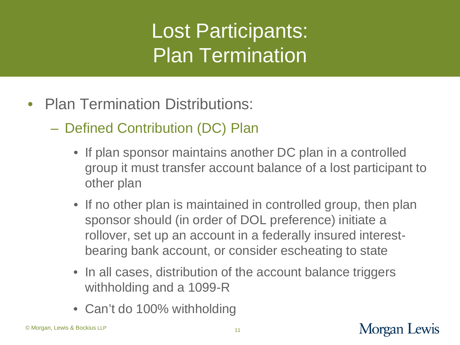# Lost Participants: Plan Termination

- Plan Termination Distributions:
	- Defined Contribution (DC) Plan
		- If plan sponsor maintains another DC plan in a controlled group it must transfer account balance of a lost participant to other plan
		- If no other plan is maintained in controlled group, then plan sponsor should (in order of DOL preference) initiate a rollover, set up an account in a federally insured interestbearing bank account, or consider escheating to state
		- In all cases, distribution of the account balance triggers withholding and a 1099-R
		- Can't do 100% withholding

#### Morgan Lewis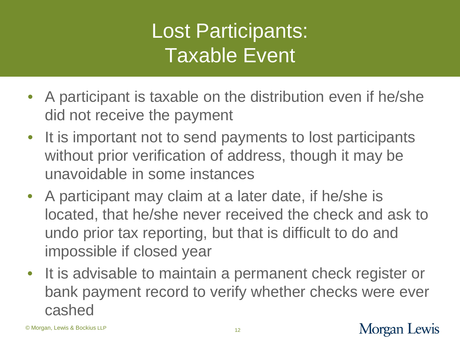# Lost Participants: Taxable Event

- A participant is taxable on the distribution even if he/she did not receive the payment
- It is important not to send payments to lost participants without prior verification of address, though it may be unavoidable in some instances
- A participant may claim at a later date, if he/she is located, that he/she never received the check and ask to undo prior tax reporting, but that is difficult to do and impossible if closed year
- It is advisable to maintain a permanent check register or bank payment record to verify whether checks were ever cashed

#### Morgan Lewis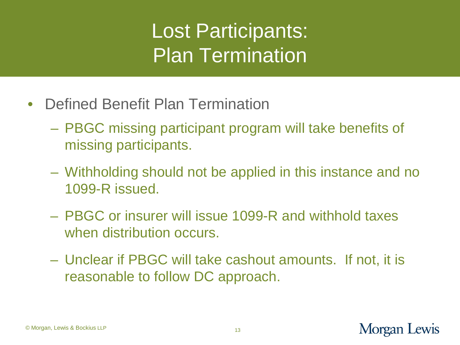# Lost Participants: Plan Termination

- Defined Benefit Plan Termination
	- PBGC missing participant program will take benefits of missing participants.
	- Withholding should not be applied in this instance and no 1099-R issued.
	- PBGC or insurer will issue 1099-R and withhold taxes when distribution occurs.
	- Unclear if PBGC will take cashout amounts. If not, it is reasonable to follow DC approach.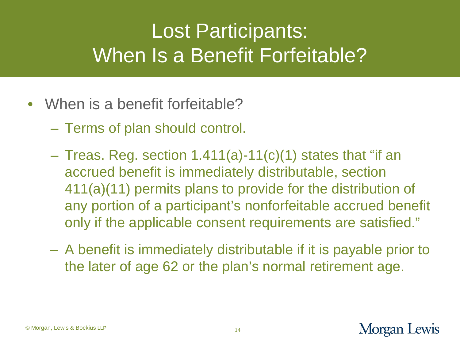# Lost Participants: When Is a Benefit Forfeitable?

- When is a benefit forfeitable?
	- Terms of plan should control.
	- $-$  Treas. Reg. section 1.411(a)-11(c)(1) states that "if an accrued benefit is immediately distributable, section 411(a)(11) permits plans to provide for the distribution of any portion of a participant's nonforfeitable accrued benefit only if the applicable consent requirements are satisfied."
	- A benefit is immediately distributable if it is payable prior to the later of age 62 or the plan's normal retirement age.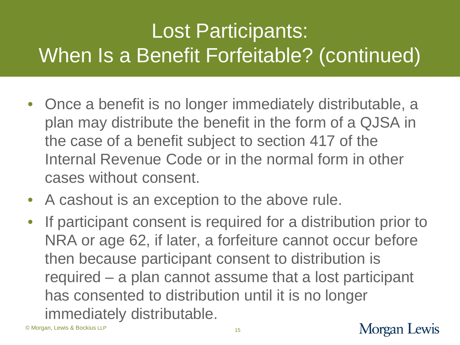# Lost Participants: When Is a Benefit Forfeitable? (continued)

- Once a benefit is no longer immediately distributable, a plan may distribute the benefit in the form of a QJSA in the case of a benefit subject to section 417 of the Internal Revenue Code or in the normal form in other cases without consent.
- A cashout is an exception to the above rule.
- If participant consent is required for a distribution prior to NRA or age 62, if later, a forfeiture cannot occur before then because participant consent to distribution is required – a plan cannot assume that a lost participant has consented to distribution until it is no longer immediately distributable.

© Morgan, Lewis & Bockius LLP

#### Morgan Lewis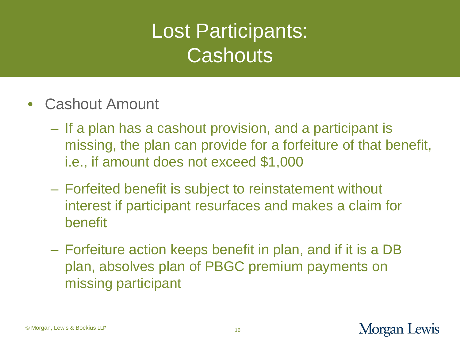# Lost Participants: **Cashouts**

- Cashout Amount
	- If a plan has a cashout provision, and a participant is missing, the plan can provide for a forfeiture of that benefit, i.e., if amount does not exceed \$1,000
	- Forfeited benefit is subject to reinstatement without interest if participant resurfaces and makes a claim for benefit
	- Forfeiture action keeps benefit in plan, and if it is a DB plan, absolves plan of PBGC premium payments on missing participant

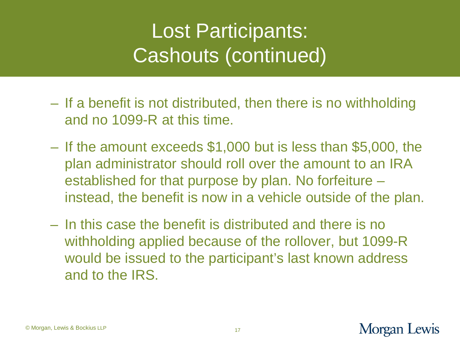# Lost Participants: Cashouts (continued)

- If a benefit is not distributed, then there is no withholding and no 1099-R at this time.
- If the amount exceeds \$1,000 but is less than \$5,000, the plan administrator should roll over the amount to an IRA established for that purpose by plan. No forfeiture – instead, the benefit is now in a vehicle outside of the plan.
- In this case the benefit is distributed and there is no withholding applied because of the rollover, but 1099-R would be issued to the participant's last known address and to the IRS.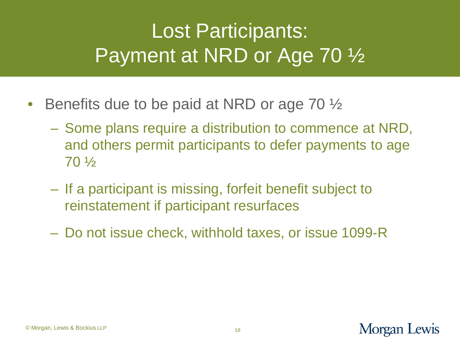# Lost Participants: Payment at NRD or Age 70 ½

- Benefits due to be paid at NRD or age 70  $\frac{1}{2}$ 
	- Some plans require a distribution to commence at NRD, and others permit participants to defer payments to age 70 ½
	- If a participant is missing, forfeit benefit subject to reinstatement if participant resurfaces
	- Do not issue check, withhold taxes, or issue 1099-R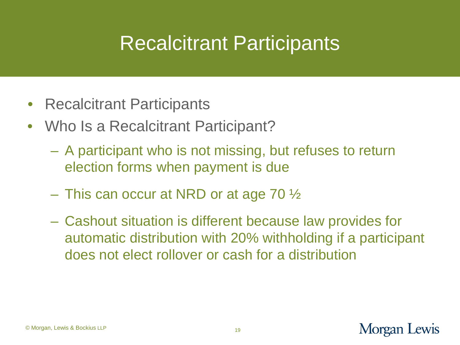#### Recalcitrant Participants

- Recalcitrant Participants
- Who Is a Recalcitrant Participant?
	- A participant who is not missing, but refuses to return election forms when payment is due
	- $-$  This can occur at NRD or at age 70  $\frac{1}{2}$
	- Cashout situation is different because law provides for automatic distribution with 20% withholding if a participant does not elect rollover or cash for a distribution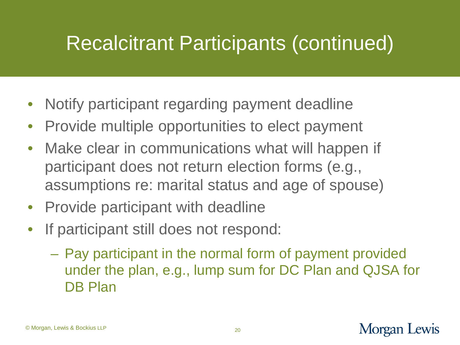## Recalcitrant Participants (continued)

- Notify participant regarding payment deadline
- Provide multiple opportunities to elect payment
- Make clear in communications what will happen if participant does not return election forms (e.g., assumptions re: marital status and age of spouse)
- Provide participant with deadline
- If participant still does not respond:
	- Pay participant in the normal form of payment provided under the plan, e.g., lump sum for DC Plan and QJSA for DB Plan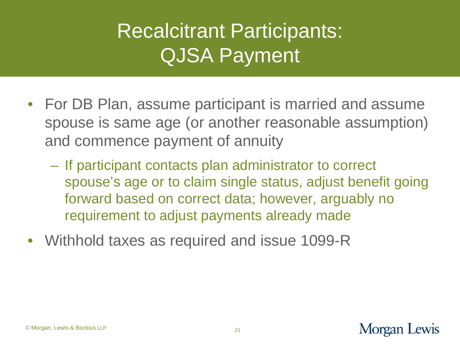# Recalcitrant Participants: QJSA Payment

- For DB Plan, assume participant is married and assume spouse is same age (or another reasonable assumption) and commence payment of annuity
	- If participant contacts plan administrator to correct spouse's age or to claim single status, adjust benefit going forward based on correct data; however, arguably no requirement to adjust payments already made
- Withhold taxes as required and issue 1099-R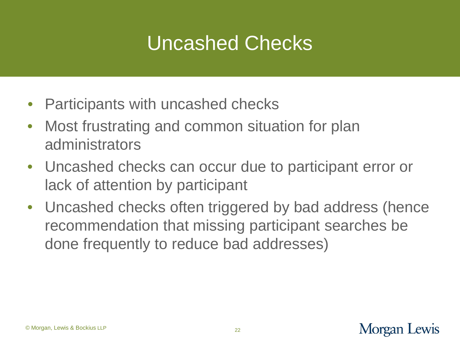### Uncashed Checks

- Participants with uncashed checks
- Most frustrating and common situation for plan administrators
- Uncashed checks can occur due to participant error or lack of attention by participant
- Uncashed checks often triggered by bad address (hence recommendation that missing participant searches be done frequently to reduce bad addresses)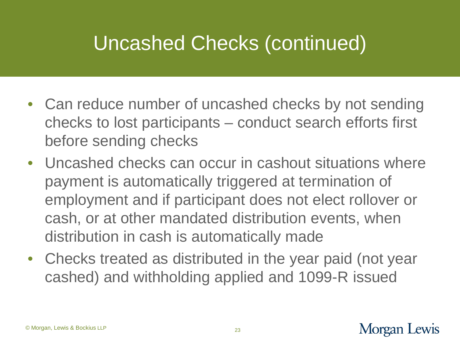# Uncashed Checks (continued)

- Can reduce number of uncashed checks by not sending checks to lost participants – conduct search efforts first before sending checks
- Uncashed checks can occur in cashout situations where payment is automatically triggered at termination of employment and if participant does not elect rollover or cash, or at other mandated distribution events, when distribution in cash is automatically made
- Checks treated as distributed in the year paid (not year cashed) and withholding applied and 1099-R issued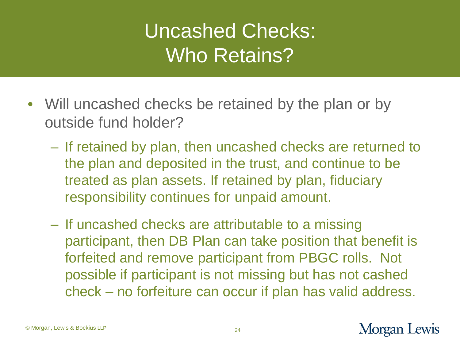# Uncashed Checks: Who Retains?

- Will uncashed checks be retained by the plan or by outside fund holder?
	- If retained by plan, then uncashed checks are returned to the plan and deposited in the trust, and continue to be treated as plan assets. If retained by plan, fiduciary responsibility continues for unpaid amount.
	- If uncashed checks are attributable to a missing participant, then DB Plan can take position that benefit is forfeited and remove participant from PBGC rolls. Not possible if participant is not missing but has not cashed check – no forfeiture can occur if plan has valid address.

#### Morgan Lewis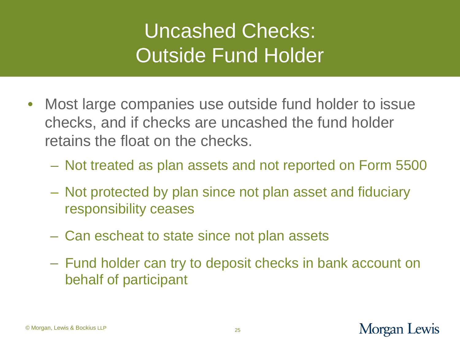# Uncashed Checks: Outside Fund Holder

- Most large companies use outside fund holder to issue checks, and if checks are uncashed the fund holder retains the float on the checks.
	- Not treated as plan assets and not reported on Form 5500
	- Not protected by plan since not plan asset and fiduciary responsibility ceases
	- Can escheat to state since not plan assets
	- Fund holder can try to deposit checks in bank account on behalf of participant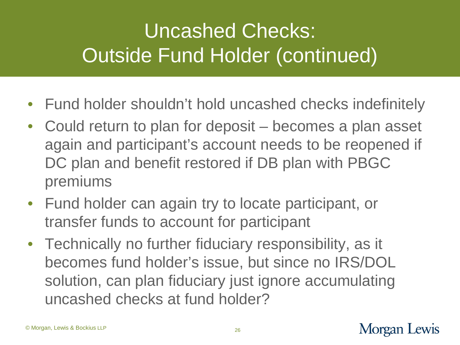# Uncashed Checks: Outside Fund Holder (continued)

- Fund holder shouldn't hold uncashed checks indefinitely
- Could return to plan for deposit becomes a plan asset again and participant's account needs to be reopened if DC plan and benefit restored if DB plan with PBGC premiums
- Fund holder can again try to locate participant, or transfer funds to account for participant
- Technically no further fiduciary responsibility, as it becomes fund holder's issue, but since no IRS/DOL solution, can plan fiduciary just ignore accumulating uncashed checks at fund holder?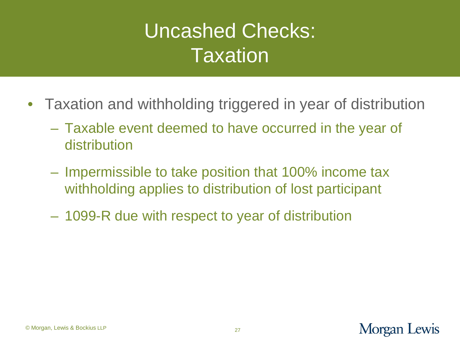# Uncashed Checks: **Taxation**

- Taxation and withholding triggered in year of distribution
	- Taxable event deemed to have occurred in the year of distribution
	- Impermissible to take position that 100% income tax withholding applies to distribution of lost participant
	- 1099-R due with respect to year of distribution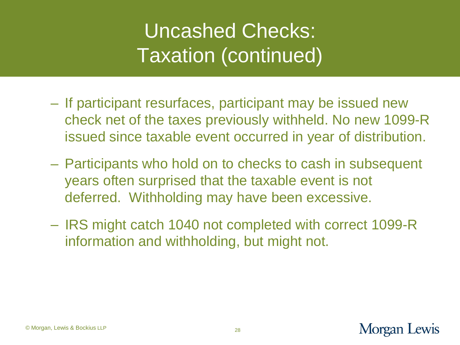# Uncashed Checks: Taxation (continued)

- If participant resurfaces, participant may be issued new check net of the taxes previously withheld. No new 1099-R issued since taxable event occurred in year of distribution.
- Participants who hold on to checks to cash in subsequent years often surprised that the taxable event is not deferred. Withholding may have been excessive.
- IRS might catch 1040 not completed with correct 1099-R information and withholding, but might not.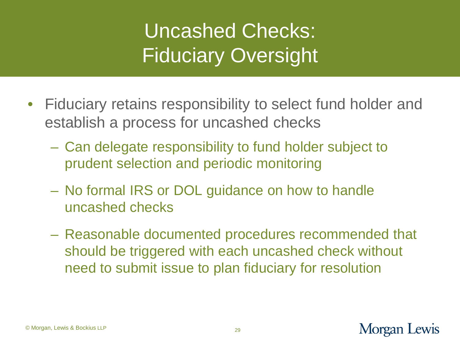# Uncashed Checks: Fiduciary Oversight

- Fiduciary retains responsibility to select fund holder and establish a process for uncashed checks
	- Can delegate responsibility to fund holder subject to prudent selection and periodic monitoring
	- No formal IRS or DOL guidance on how to handle uncashed checks
	- Reasonable documented procedures recommended that should be triggered with each uncashed check without need to submit issue to plan fiduciary for resolution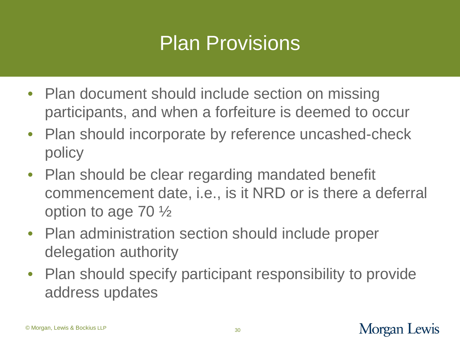#### Plan Provisions

- Plan document should include section on missing participants, and when a forfeiture is deemed to occur
- Plan should incorporate by reference uncashed-check policy
- Plan should be clear regarding mandated benefit commencement date, i.e., is it NRD or is there a deferral option to age 70 ½
- Plan administration section should include proper delegation authority
- Plan should specify participant responsibility to provide address updates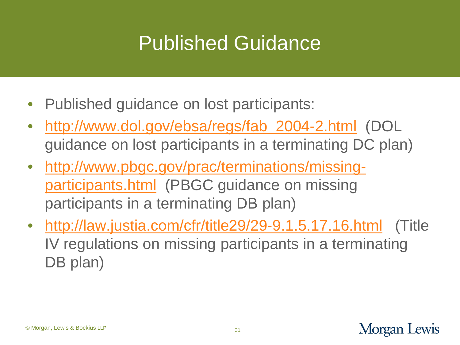## Published Guidance

- Published guidance on lost participants:
- [http://www.dol.gov/ebsa/regs/fab\\_2004-2.html](http://www.dol.gov/ebsa/regs/fab_2004-2.html) (DOL guidance on lost participants in a terminating DC plan)
- [http://www.pbgc.gov/prac/terminations/missing](http://www.pbgc.gov/prac/terminations/missing-participants.html)[participants.html](http://www.pbgc.gov/prac/terminations/missing-participants.html) (PBGC guidance on missing participants in a terminating DB plan)
- <http://law.justia.com/cfr/title29/29-9.1.5.17.16.html> (Title IV regulations on missing participants in a terminating DB plan)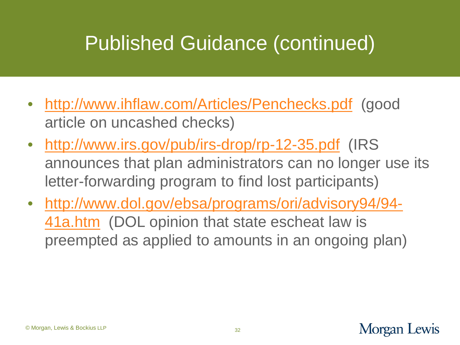# Published Guidance (continued)

- <http://www.ihflaw.com/Articles/Penchecks.pdf> (good article on uncashed checks)
- <http://www.irs.gov/pub/irs-drop/rp-12-35.pdf> (IRS announces that plan administrators can no longer use its letter-forwarding program to find lost participants)
- [http://www.dol.gov/ebsa/programs/ori/advisory94/94-](http://www.dol.gov/ebsa/programs/ori/advisory94/94-41a.htm) [41a.htm](http://www.dol.gov/ebsa/programs/ori/advisory94/94-41a.htm) (DOL opinion that state escheat law is preempted as applied to amounts in an ongoing plan)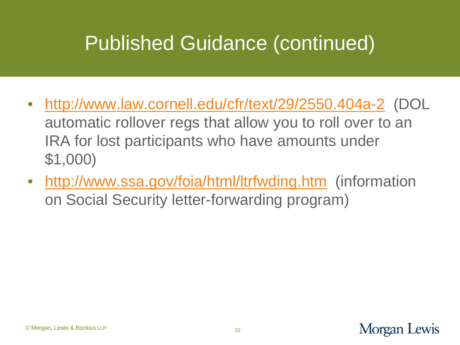# Published Guidance (continued)

- <http://www.law.cornell.edu/cfr/text/29/2550.404a-2> (DOL automatic rollover regs that allow you to roll over to an IRA for lost participants who have amounts under \$1,000)
- <http://www.ssa.gov/foia/html/ltrfwding.htm>(information on Social Security letter-forwarding program)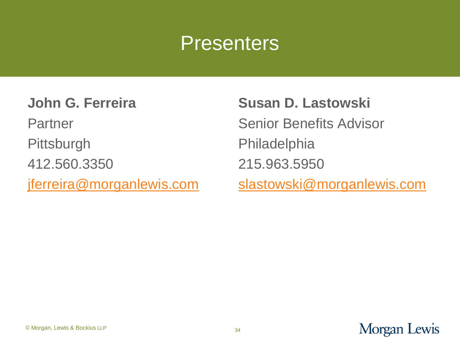#### **Presenters**

**John G. Ferreira**

Partner

**Pittsburgh** 

412.560.3350

[jferreira@morganlewis.com](mailto:jferreira@morganlewis.com)

**Susan D. Lastowski** Senior Benefits Advisor Philadelphia 215.963.5950 [slastowski@morganlewis.com](mailto:slastowski@morganlewis.com)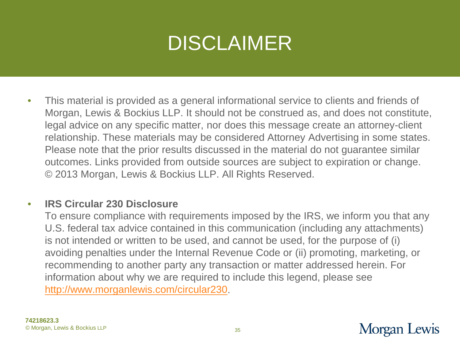# DISCLAIMER

• This material is provided as a general informational service to clients and friends of Morgan, Lewis & Bockius LLP. It should not be construed as, and does not constitute, legal advice on any specific matter, nor does this message create an attorney-client relationship. These materials may be considered Attorney Advertising in some states. Please note that the prior results discussed in the material do not guarantee similar outcomes. Links provided from outside sources are subject to expiration or change. © 2013 Morgan, Lewis & Bockius LLP. All Rights Reserved.

#### • **IRS Circular 230 Disclosure**

To ensure compliance with requirements imposed by the IRS, we inform you that any U.S. federal tax advice contained in this communication (including any attachments) is not intended or written to be used, and cannot be used, for the purpose of (i) avoiding penalties under the Internal Revenue Code or (ii) promoting, marketing, or recommending to another party any transaction or matter addressed herein. For information about why we are required to include this legend, please see <http://www.morganlewis.com/circular230>.